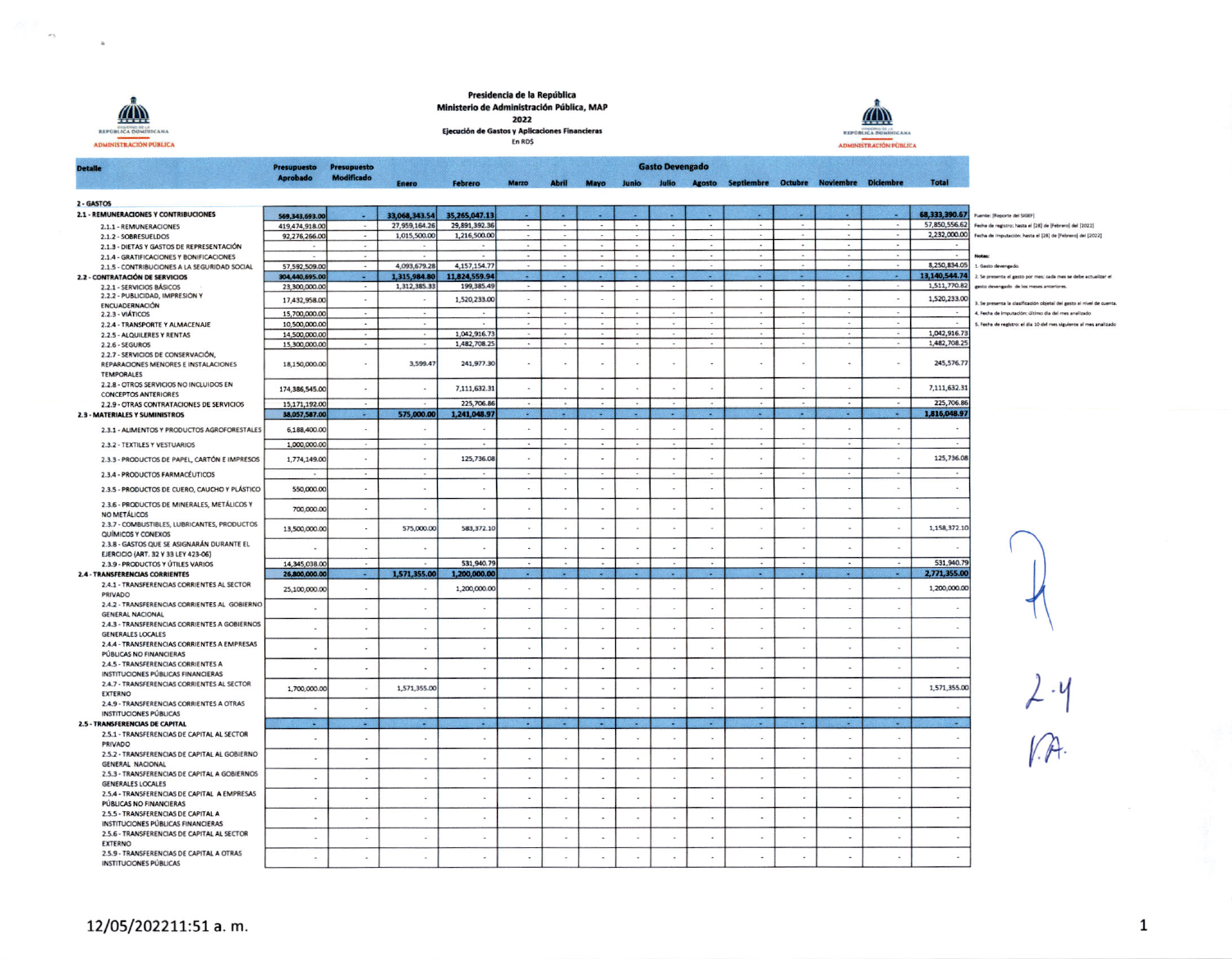

 $\sim$ 

 $\sigma$  ).

Presidencia de la República Ministerio de Administración Pública, MAP 2022





 $\overline{a}$ 

 $\overline{\phantom{a}}$ 

**Gasto Devengado Detaile Presupuesto Presupuesto<br>Modificado** Anrobado Abril Mayo Junio Julio Agosto Septiembre Octubre Noviembre Diciembre Total Cohrere 2 - GASTOS 2.1 - REMUNERACIONES Y CONTRIBUCIONES 569,343,693.00 33.068.343.54 35.265.047.13 68,333,390.67 **Fuente: IReporte del SIGEFI** 57,850,556.62 2.1.1 - REMUNERACIONES 419,474,918.00 27.959.164.26 29.891.392.36 Fecha de registro: hasta el [28] de [Febrero] del [2022] 2,232,000.00 2.1.2 - SOBRESUELDOS 92,276,266.00 1,015,500.00 1,216,500.00  $\sim$  $\sim$ Fecha de imputación: hasta el [28] de [Febrero] del [2022]  $\sim$ 2.1.3 - DIETAS Y GASTOS DE REPRESENTACIÓN 2.1.4 - GRATIFICACIONES Y BONIFICACIONES 4,093,679.28 4,157,154.77 8,250,834.05 57,592,509.00 1. Gasto devengado. 2.1.5 - CONTRIBUCIONES A LA SEGURIDAD SOCIAL 13,140,544.74 1,315,984.80 11824559.94 2.2 - CONTRATACIÓN DE SERVICIOS 304.440,695.00 v. УG. 790 - 23 œ o. 2. Se presenta el gasto por mes: cada mes se debe actualizar el 1.511.770.82 1 312 385 33 2.2.1 - SERVICIOS BÁSICOS 23,300,000.00 199 385.49 rasto devenando de los meses anteriores. 222-PUBLICIDAD IMPRESIÓN Y  $152023300$  $\sim$ ÷ 1.520.233.00 17,432,958.00  $\sim$ ÷  $\sim$ v.  $\overline{\phantom{a}}$  $\sim$ .<br>Il Se presenta la clasificación objetal del gasto al nivel de cuenta ENCUADERNACIÓN 15,700,000.00 4. Fecha de imputación: último día del mes analizado 2.2.3 - VIÁTICOS 2.2.4 - TRANSPORTE Y ALMACENAIE 10.500,000.00 5. Fecha de registro: el día 10 del mes siguiente al mes analizado 1,042,916.73 1.042.916.73 2.2.5 - ALOUILERES Y RENTAS 14.500,000.00  $\overline{a}$  $\sim$ 1.482.708.25 2.2.6 - SEGUROS 15,300,000.00 1,482,708.25 2.2.7 - SERVICIOS DE CONSERVACIÓN, 245.576.77 241, 977.30 REPARACIONES MENORES E INSTALACIONES 18,150,000.00 ÷ 3.599.47  $\mathcal{L}$  $\alpha$  $\sim$  $\omega$  $\sim$ ×  $\overline{\phantom{a}}$  $\sim$  $\sim$ TEMPORALES 2.2.8 - OTROS SERVICIOS NO INCLUIDOS EN 7.111.632.31 7,111,632.31 174 386 545.00 ÷.  $\overline{\phantom{a}}$ ÷. ÷.  $\omega$  $\sim$  $\sim$  $\overline{\phantom{a}}$  $\overline{\phantom{a}}$  $\overline{\phantom{a}}$  $\sim$  $\ddot{\phantom{a}}$ **CONCEPTOS ANTERIORES** 2.2.9 - OTRAS CONTRATACIONES DE SERVICIOS 15,171,192.00 225,706.86 225,706.86  $\sim$ 575,000.00 1,816,048.97 2.3 - MATERIALES Y SUMINISTROS 38.057.587.00 p. 1.241.048.97 g. P. 29 ×. gen<br>Gen 78 79 × m e va  $\mathcal{L}$ 6,188,400.00 ¥. ÷,  $\mathcal{L}$  $\bar{a}$ ¥  $\overline{\phantom{a}}$ 2.3.1 - ALIMENTOS Y PRODUCTOS AGROFORESTALES  $\overline{\phantom{a}}$  $\overline{\phantom{a}}$  $\sim$  $\sim$ 2.3.2 - TEXTILES Y VESTUARIOS 1,000,000.00 125,736.08  $\sim$  $\alpha$  $\sim$ 125,736.08 2.3.3 - PRODUCTOS DE PAPEL, CARTÓN E IMPRESOS 1.774.149.00  $\sim$  $\sim 10$  $\sim$  $\sim$  $\sim$  $\sim$  $\overline{\phantom{a}}$  $\sim$  $\sim$ 2.3.4 - PRODUCTOS FARMACÉUTICOS 2.3.5 - PRODUCTOS DE CUERO, CAUCHO Y PLÁSTICO 550,000.00  $\sim$  $\sim$  $\sim$ ×.  $\overline{\phantom{a}}$  $\sim$ ×  $\sim$  $\overline{a}$  $\ddot{\phantom{a}}$  $\overline{\phantom{a}}$  $\sim$ - 11  $\sim$ 2.3.6 - PRODUCTOS DE MINERALES, METÁLICOS Y 700,000.00  $\bar{\mathbf{z}}$  $\mathcal{L}$  $\lambda$ ÷  $\lambda$ à.  $\hat{\mathbf{r}}$  $\tilde{\omega}$  $\bar{\omega}$  $\bar{\nu}$  $\mathcal{L}$  $\mathcal{L}$  $\sim$ NO METÁLICOS 2.3.7 - COMBUSTIBLES, LUBRICANTES, PRODUCTOS 13,500,000.00 575,000.00 583,372.10 1,158,372.10  $\overline{\phantom{a}}$  $\lambda$  $\overline{\phantom{a}}$  $\overline{\phantom{a}}$  $\cdot$  $\overline{\phantom{a}}$  $\overline{\phantom{a}}$  $\sim$ QUÍMICOS Y CONEXOS 2.3.8 - GASTOS QUE SE ASIGNARÁN DURANTE EL  $\bar{\omega}$  $\ddot{\phantom{1}}$  $\sim$  $\omega$  $\sim$  $\cdot$  $\sim$  $\sim$  $\sim$  $\sim$  $\sim$  $\mathbf{r}$  $\overline{\phantom{a}}$  $\mathcal{L}_{\text{eff}}$ **EJERCICIO (ART. 32 Y 33 LEY 423-06)** 14,345,038.00 531,940.79 531,940.79 2.3.9 - PRODUCTOS Y ÚTILES VARIOS 1,571,355.00 аń, 29 699 2.771.355.00 1,200,000.00 g e ×. 74 a, 2.4 - TRANSFERENCIAS CORRIENTES 26,800,000.00 **Card** a. 2.4.1 - TRANSFERENCIAS CORRIENTES AL SECTOR 25,100,000.00  $\ddot{\phantom{a}}$ 1,200,000.00 ÷,  $\lambda$  $\sim$  $\bar{\nu}$ ×  $\mathbf{r}$ 1,200,000.00 ÷.  $\bar{a}$ PRIVADO 2.4.2 - TRANSFERENCIAS CORRIENTES AL GOBIERNO  $\mathcal{L}_{\mathbf{a}}$  $\overline{\phantom{a}}$  $\sim$  $\sim$  $\mathcal{L}_{\mathbf{z}}$  $\mathcal{L}$  $\overline{\phantom{a}}$  $\ddot{\phantom{1}}$  $\sim$  $\sim$  $\sim$  $\overline{\phantom{a}}$ **GENERAL NACIONAL** 2.4.3 - TRANSFERENCIAS CORRIENTES A GOBIERNOS  $\sim$  $\ddot{\phantom{1}}$  $\sim$  $\sim$  $\sim$  $\sim$  $\sim$  $\sim$  $\sim$  $\sim$  $\lambda$  $\sim$  $\sim$  $\overline{\phantom{a}}$  $\bullet$ **GENERALES LOCALES** 2.4.4 - TRANSFERENCIAS CORRIENTES A EMPRESAS  $\sim$  $\sim$  $\mathbb{R}^2$  $\rightarrow$  $\mathcal{L}^{\mathcal{L}}$  $\sim$  $\sim$  $\sim$  $\sim$  $\sim$  $\mathcal{L}(\mathcal{C})$  $\sim$  $\sim$  $\sim$  $\sim$ PÚBLICAS NO FINANCIERAS 2.4.5 - TRANSFERENCIAS CORRIENTES A  $\sim$ ÷, ÷ ٠. ÷. ×  $\overline{\phantom{a}}$  $\cdot$  $\overline{\phantom{a}}$ ÷ -2 -2 INSTITUCIONES PÚBLICAS FINANCIERAS 2.4.7 - TRANSFERENCIAS CORRIENTES AL SECTOR 1,571,355.00 1,571,355.00 1,700,000.00  $\mathcal{L}_{\mathcal{A}}$  $\mathcal{L}$  $\sim$  $\bar{\omega}$  $\sim$  $\omega$  $\overline{\phantom{a}}$  $\sim$  $\sim$  $\sim$  $\alpha$  $\overline{\phantom{a}}$ EXTERNO 2.4.9 - TRANSFERENCIAS CORRIENTES A OTRAS  $\sim$  $\mathcal{L}$  $\sim$  $\ddot{\phantom{a}}$  $\sim$  $\sim$  $\blacksquare$  $\sim$  $\mathcal{L}$  $\ddot{\phantom{1}}$  $\sim$  $\sim$  $\cdot$  $\overline{\phantom{a}}$ a **INSTITUCIONES PÚBLICAS** 2.5 - TRANSFERENCIAS DE CAPITAL 容気 -**CAST** P. a. **College** - 2  $\sim$  $\sim$ × 2.5.1 - TRANSFERENCIAS DE CAPITAL AL SECTOR ä,  $\omega$  $\lambda$  $\lambda$  $\sim$  $\omega$  $\alpha$  $\sim$ 14  $\sim$  $\sim$  $\sim$  $\sim$  $\sim$  $\sim$ PRIVADO 2.5.2 - TRANSFERENCIAS DE CAPITAL AL GOBIERNO  $\mathcal{L}$  $\overline{\phantom{a}}$  $\overline{\phantom{a}}$  $\cdot$ ÷,  $\overline{\phantom{a}}$  $\sim$  $\sim$  $\sim$  $\overline{\phantom{a}}$  $\sim$  $\hat{\mathcal{A}}$  $\overline{\phantom{a}}$ GENERAL NACIONAL 2.5.3 - TRANSFERENCIAS DE CAPITAL A GOBIERNOS  $\sim$  $\omega$  $\ddot{\phantom{1}}$  $\sim$  $\sim$  $\lambda$  $\sim$  $\sim$  $\bar{\mathbf{z}}$  $\overline{\phantom{a}}$ ٠.  $\sim$  $\sim$  $\sim$ **GENERALES LOCALES** 2.5.4 - TRANSFERENCIAS DE CAPITAL A EMPRESAS  $\mathcal{L}$ ÷  $\sim$  $\ddot{\phantom{a}}$  $\sim$  $\overline{\phantom{a}}$  $\overline{a}$  $\sim$  $\ddot{\phantom{1}}$  $\sim$  $\bar{a}$  $\sim$  $\overline{\phantom{a}}$ ÷  $\sim$ PÚBLICAS NO FINANCIERAS 2.5.5 - TRANSFERENCIAS DE CAPITAL A ÷.  $\ddot{\phantom{a}}$  $\ddot{\phantom{0}}$ ÷.  $\sim$  $\overline{a}$ ÷.  $\sim$  $\sim$  $\sim$  $\sim$ ÷.  $\sim$  $\sim$ INSTITUCIONES PÚBLICAS FINANCIERAS 2.5.6 - TRANSFERENCIAS DE CAPITAL AL SECTOR ÷ Ŷ.  $\bar{\nu}$  $\sim$ ó,  $\alpha$  $\overline{\phantom{a}}$  $\omega$  $\ddot{\phantom{a}}$ ×,  $\mathcal{L}_{\mathcal{A}}$  $\cdot$  $\overline{\phantom{a}}$  $\overline{\phantom{a}}$ **EXTERNO** 

2.5.9 - TRANSFERENCIAS DE CAPITAL A OTRAS

**INSTITUCIONES PÚBLICAS** 

 $\overline{\phantom{a}}$ 

 $\overline{\phantom{a}}$